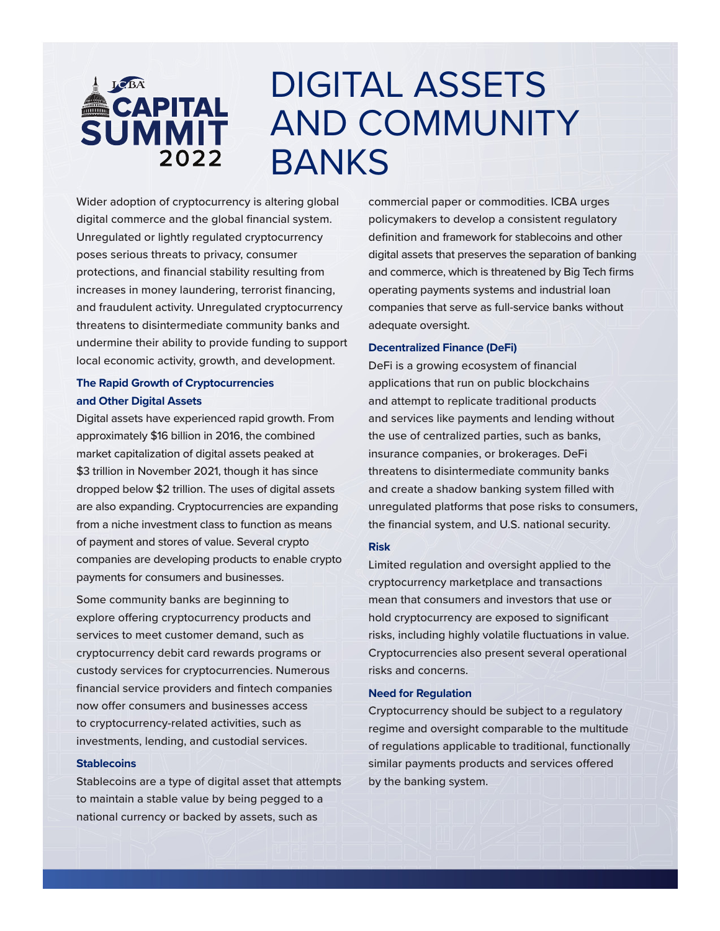

# DIGITAL ASSETS AND COMMUNITY BANKS

Wider adoption of cryptocurrency is altering global digital commerce and the global financial system. Unregulated or lightly regulated cryptocurrency poses serious threats to privacy, consumer protections, and financial stability resulting from increases in money laundering, terrorist financing, and fraudulent activity. Unregulated cryptocurrency threatens to disintermediate community banks and undermine their ability to provide funding to support local economic activity, growth, and development.

## **The Rapid Growth of Cryptocurrencies and Other Digital Assets**

Digital assets have experienced rapid growth. From approximately \$16 billion in 2016, the combined market capitalization of digital assets peaked at \$3 trillion in November 2021, though it has since dropped below \$2 trillion. The uses of digital assets are also expanding. Cryptocurrencies are expanding from a niche investment class to function as means of payment and stores of value. Several crypto companies are developing products to enable crypto payments for consumers and businesses.

Some community banks are beginning to explore offering cryptocurrency products and services to meet customer demand, such as cryptocurrency debit card rewards programs or custody services for cryptocurrencies. Numerous financial service providers and fintech companies now offer consumers and businesses access to cryptocurrency-related activities, such as investments, lending, and custodial services.

## **Stablecoins**

Stablecoins are a type of digital asset that attempts to maintain a stable value by being pegged to a national currency or backed by assets, such as

commercial paper or commodities. ICBA urges policymakers to develop a consistent regulatory definition and framework for stablecoins and other digital assets that preserves the separation of banking and commerce, which is threatened by Big Tech firms operating payments systems and industrial loan companies that serve as full-service banks without adequate oversight.

### **Decentralized Finance (DeFi)**

DeFi is a growing ecosystem of financial applications that run on public blockchains and attempt to replicate traditional products and services like payments and lending without the use of centralized parties, such as banks, insurance companies, or brokerages. DeFi threatens to disintermediate community banks and create a shadow banking system filled with unregulated platforms that pose risks to consumers, the financial system, and U.S. national security.

### **Risk**

Limited regulation and oversight applied to the cryptocurrency marketplace and transactions mean that consumers and investors that use or hold cryptocurrency are exposed to significant risks, including highly volatile fluctuations in value. Cryptocurrencies also present several operational risks and concerns.

### **Need for Regulation**

Cryptocurrency should be subject to a regulatory regime and oversight comparable to the multitude of regulations applicable to traditional, functionally similar payments products and services offered by the banking system.